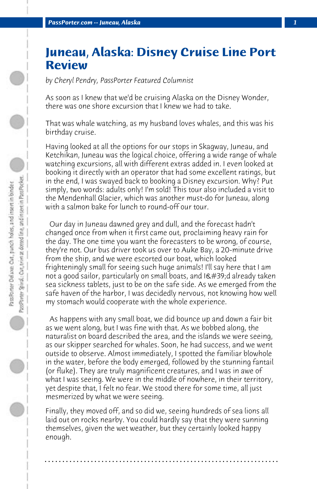## **Juneau, Alaska: Disney Cruise Line Port Review**

*by Cheryl Pendry, PassPorter Featured Columnist*

As soon as I knew that we'd be cruising Alaska on the Disney Wonder, there was one shore excursion that I knew we had to take.

That was whale watching, as my husband loves whales, and this was his birthday cruise.

Having looked at all the options for our stops in Skagway, Juneau, and Ketchikan, Juneau was the logical choice, offering a wide range of whale watching excursions, all with different extras added in. I even looked at booking it directly with an operator that had some excellent ratings, but in the end, I was swayed back to booking a Disney excursion. Why? Put simply, two words: adults only! I'm sold! This tour also included a visit to the Mendenhall Glacier, which was another must-do for Juneau, along with a salmon bake for lunch to round-off our tour.

 Our day in Juneau dawned grey and dull, and the forecast hadn't changed once from when it first came out, proclaiming heavy rain for the day. The one time you want the forecasters to be wrong, of course, they're not. Our bus driver took us over to Auke Bay, a 20-minute drive from the ship, and we were escorted our boat, which looked frighteningly small for seeing such huge animals! I'll say here that I am not a good sailor, particularly on small boats, and  $18#39; d$  already taken sea sickness tablets, just to be on the safe side. As we emerged from the safe haven of the harbor, I was decidedly nervous, not knowing how well my stomach would cooperate with the whole experience.

 As happens with any small boat, we did bounce up and down a fair bit as we went along, but I was fine with that. As we bobbed along, the naturalist on board described the area, and the islands we were seeing, as our skipper searched for whales. Soon, he had success, and we went outside to observe. Almost immediately, I spotted the familiar blowhole in the water, before the body emerged, followed by the stunning fantail (or fluke). They are truly magnificent creatures, and I was in awe of what I was seeing. We were in the middle of nowhere, in their territory, yet despite that, I felt no fear. We stood there for some time, all just mesmerized by what we were seeing.

Finally, they moved off, and so did we, seeing hundreds of sea lions all laid out on rocks nearby. You could hardly say that they were sunning themselves, given the wet weather, but they certainly looked happy enough.

**. . . . . . . . . . . . . . . . . . . . . . . . . . . . . . . . . . . . . . . . . . . . . . . . . . . . . . . . . . . . . . . . . .**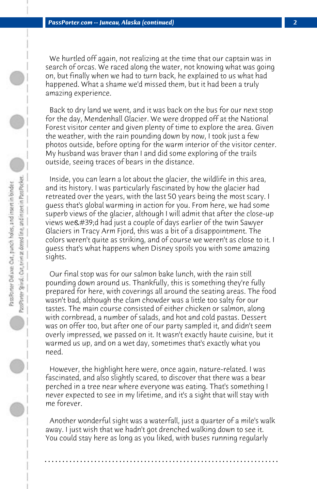We hurtled off again, not realizing at the time that our captain was in search of orcas. We raced along the water, not knowing what was going on, but finally when we had to turn back, he explained to us what had happened. What a shame we'd missed them, but it had been a truly amazing experience.

 Back to dry land we went, and it was back on the bus for our next stop for the day, Mendenhall Glacier. We were dropped off at the National Forest visitor center and given plenty of time to explore the area. Given the weather, with the rain pounding down by now, I took just a few photos outside, before opting for the warm interior of the visitor center. My husband was braver than I and did some exploring of the trails outside, seeing traces of bears in the distance.

 Inside, you can learn a lot about the glacier, the wildlife in this area, and its history. I was particularly fascinated by how the glacier had retreated over the years, with the last 50 years being the most scary. I guess that's global warming in action for you. From here, we had some superb views of the glacier, although I will admit that after the close-up views we'd had just a couple of days earlier of the twin Sawyer Glaciers in Tracy Arm Fjord, this was a bit of a disappointment. The colors weren't quite as striking, and of course we weren't as close to it. I guess that's what happens when Disney spoils you with some amazing sights.

 Our final stop was for our salmon bake lunch, with the rain still pounding down around us. Thankfully, this is something they're fully prepared for here, with coverings all around the seating areas. The food wasn't bad, although the clam chowder was a little too salty for our tastes. The main course consisted of either chicken or salmon, along with cornbread, a number of salads, and hot and cold pastas. Dessert was on offer too, but after one of our party sampled it, and didn't seem overly impressed, we passed on it. It wasn't exactly haute cuisine, but it warmed us up, and on a wet day, sometimes that's exactly what you need.

 However, the highlight here were, once again, nature-related. I was fascinated, and also slightly scared, to discover that there was a bear perched in a tree near where everyone was eating. That's something I never expected to see in my lifetime, and it's a sight that will stay with me forever.

 Another wonderful sight was a waterfall, just a quarter of a mile's walk away. I just wish that we hadn't got drenched walking down to see it. You could stay here as long as you liked, with buses running regularly

**. . . . . . . . . . . . . . . . . . . . . . . . . . . . . . . . . . . . . . . . . . . . . . . . . . . . . . . . . . . . . . . . . .**